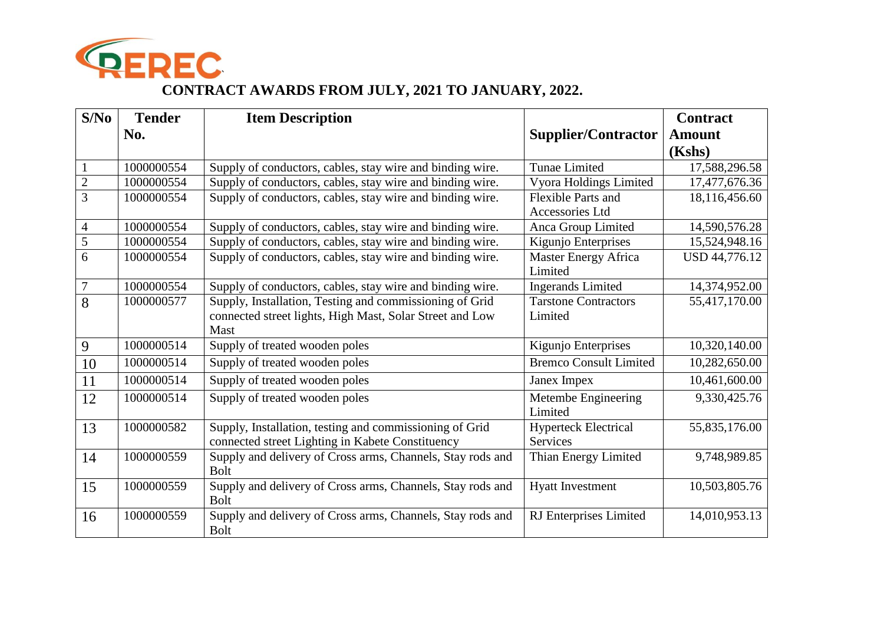

## **CONTRACT AWARDS FROM JULY, 2021 TO JANUARY, 2022.**

| S/No           | <b>Tender</b> | <b>Item Description</b>                                                                                     |                                                | <b>Contract</b> |
|----------------|---------------|-------------------------------------------------------------------------------------------------------------|------------------------------------------------|-----------------|
|                | No.           |                                                                                                             | <b>Supplier/Contractor</b>                     | <b>Amount</b>   |
|                |               |                                                                                                             |                                                | (Kshs)          |
| $\mathbf{1}$   | 1000000554    | Supply of conductors, cables, stay wire and binding wire.                                                   | <b>Tunae Limited</b>                           | 17,588,296.58   |
| $\overline{2}$ | 1000000554    | Supply of conductors, cables, stay wire and binding wire.                                                   | Vyora Holdings Limited                         | 17,477,676.36   |
| $\overline{3}$ | 1000000554    | Supply of conductors, cables, stay wire and binding wire.                                                   | <b>Flexible Parts and</b><br>Accessories Ltd   | 18,116,456.60   |
| $\overline{4}$ | 1000000554    | Supply of conductors, cables, stay wire and binding wire.                                                   | Anca Group Limited                             | 14,590,576.28   |
| $\overline{5}$ | 1000000554    | Supply of conductors, cables, stay wire and binding wire.                                                   | Kigunjo Enterprises                            | 15,524,948.16   |
| 6              | 1000000554    | Supply of conductors, cables, stay wire and binding wire.                                                   | Master Energy Africa<br>Limited                | USD 44,776.12   |
| $\overline{7}$ | 1000000554    | Supply of conductors, cables, stay wire and binding wire.                                                   | <b>Ingerands Limited</b>                       | 14,374,952.00   |
| 8              | 1000000577    | Supply, Installation, Testing and commissioning of Grid                                                     | <b>Tarstone Contractors</b>                    | 55,417,170.00   |
|                |               | connected street lights, High Mast, Solar Street and Low<br>Mast                                            | Limited                                        |                 |
| 9              | 1000000514    | Supply of treated wooden poles                                                                              | Kigunjo Enterprises                            | 10,320,140.00   |
| 10             | 1000000514    | Supply of treated wooden poles                                                                              | <b>Bremco Consult Limited</b>                  | 10,282,650.00   |
| 11             | 1000000514    | Supply of treated wooden poles                                                                              | Janex Impex                                    | 10,461,600.00   |
| 12             | 1000000514    | Supply of treated wooden poles                                                                              | Metembe Engineering<br>Limited                 | 9,330,425.76    |
| 13             | 1000000582    | Supply, Installation, testing and commissioning of Grid<br>connected street Lighting in Kabete Constituency | <b>Hyperteck Electrical</b><br><b>Services</b> | 55,835,176.00   |
| 14             | 1000000559    | Supply and delivery of Cross arms, Channels, Stay rods and<br><b>Bolt</b>                                   | Thian Energy Limited                           | 9,748,989.85    |
| 15             | 1000000559    | Supply and delivery of Cross arms, Channels, Stay rods and<br><b>Bolt</b>                                   | <b>Hyatt Investment</b>                        | 10,503,805.76   |
| 16             | 1000000559    | Supply and delivery of Cross arms, Channels, Stay rods and<br><b>Bolt</b>                                   | RJ Enterprises Limited                         | 14,010,953.13   |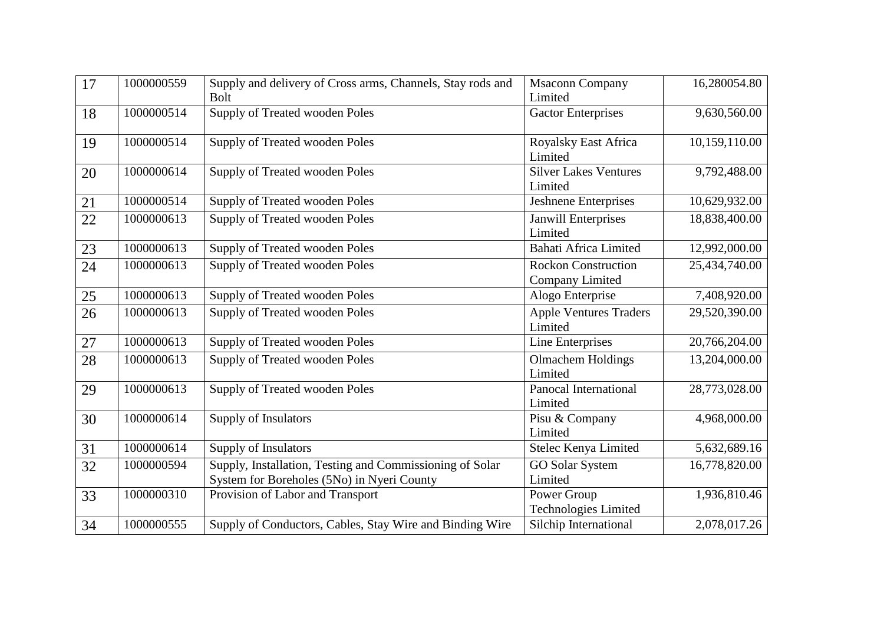| 17     | 1000000559 | Supply and delivery of Cross arms, Channels, Stay rods and<br><b>Bolt</b>                              | <b>Msaconn Company</b><br>Limited             | 16,280054.80  |
|--------|------------|--------------------------------------------------------------------------------------------------------|-----------------------------------------------|---------------|
| 18     | 1000000514 | <b>Supply of Treated wooden Poles</b>                                                                  | Gactor Enterprises                            | 9,630,560.00  |
| 19     | 1000000514 | Supply of Treated wooden Poles                                                                         | Royalsky East Africa<br>Limited               | 10,159,110.00 |
| 20     | 1000000614 | Supply of Treated wooden Poles                                                                         | <b>Silver Lakes Ventures</b><br>Limited       | 9,792,488.00  |
| 21     | 1000000514 | Supply of Treated wooden Poles                                                                         | <b>Jeshnene Enterprises</b>                   | 10,629,932.00 |
| 22     | 1000000613 | Supply of Treated wooden Poles                                                                         | <b>Janwill Enterprises</b><br>Limited         | 18,838,400.00 |
| 23     | 1000000613 | Supply of Treated wooden Poles                                                                         | <b>Bahati Africa Limited</b>                  | 12,992,000.00 |
| 24     | 1000000613 | Supply of Treated wooden Poles                                                                         | <b>Rockon Construction</b><br>Company Limited | 25,434,740.00 |
| 25     | 1000000613 | Supply of Treated wooden Poles                                                                         | Alogo Enterprise                              | 7,408,920.00  |
| 26     | 1000000613 | Supply of Treated wooden Poles                                                                         | <b>Apple Ventures Traders</b><br>Limited      | 29,520,390.00 |
| $27\,$ | 1000000613 | Supply of Treated wooden Poles                                                                         | Line Enterprises                              | 20,766,204.00 |
| 28     | 1000000613 | Supply of Treated wooden Poles                                                                         | <b>Olmachem Holdings</b><br>Limited           | 13,204,000.00 |
| 29     | 1000000613 | Supply of Treated wooden Poles                                                                         | Panocal International<br>Limited              | 28,773,028.00 |
| 30     | 1000000614 | Supply of Insulators                                                                                   | Pisu & Company<br>Limited                     | 4,968,000.00  |
| 31     | 1000000614 | Supply of Insulators                                                                                   | Stelec Kenya Limited                          | 5,632,689.16  |
| 32     | 1000000594 | Supply, Installation, Testing and Commissioning of Solar<br>System for Boreholes (5No) in Nyeri County | <b>GO Solar System</b><br>Limited             | 16,778,820.00 |
| 33     | 1000000310 | Provision of Labor and Transport                                                                       | Power Group<br>Technologies Limited           | 1,936,810.46  |
| 34     | 1000000555 | Supply of Conductors, Cables, Stay Wire and Binding Wire                                               | Silchip International                         | 2,078,017.26  |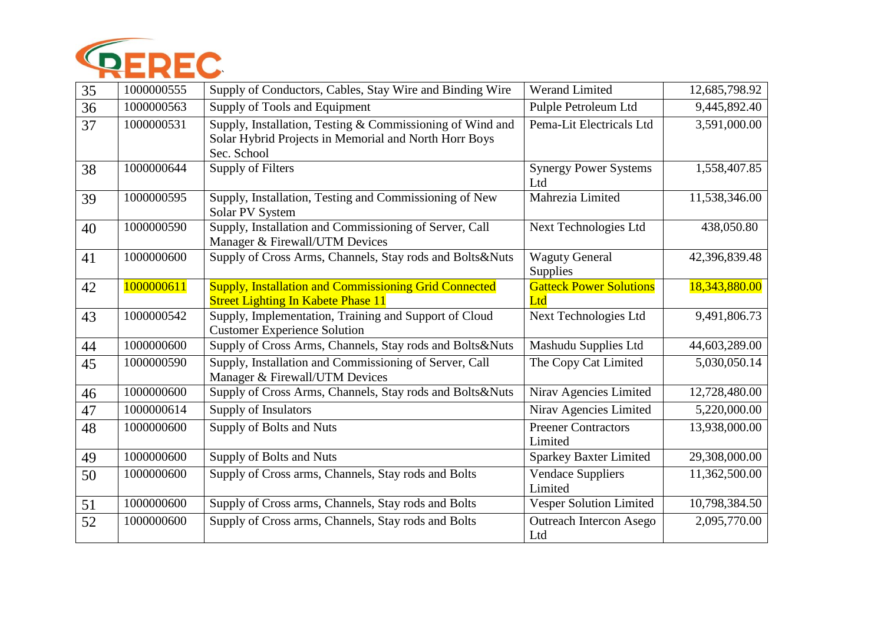

| 35 | 1000000555 | Supply of Conductors, Cables, Stay Wire and Binding Wire                                                                          | <b>Werand Limited</b>                 | 12,685,798.92 |
|----|------------|-----------------------------------------------------------------------------------------------------------------------------------|---------------------------------------|---------------|
| 36 | 1000000563 | Supply of Tools and Equipment                                                                                                     | Pulple Petroleum Ltd                  | 9,445,892.40  |
| 37 | 1000000531 | Supply, Installation, Testing & Commissioning of Wind and<br>Solar Hybrid Projects in Memorial and North Horr Boys<br>Sec. School | Pema-Lit Electricals Ltd              | 3,591,000.00  |
| 38 | 1000000644 | Supply of Filters                                                                                                                 | <b>Synergy Power Systems</b><br>Ltd   | 1,558,407.85  |
| 39 | 1000000595 | Supply, Installation, Testing and Commissioning of New<br>Solar PV System                                                         | Mahrezia Limited                      | 11,538,346.00 |
| 40 | 1000000590 | Supply, Installation and Commissioning of Server, Call<br>Manager & Firewall/UTM Devices                                          | Next Technologies Ltd                 | 438,050.80    |
| 41 | 1000000600 | Supply of Cross Arms, Channels, Stay rods and Bolts&Nuts                                                                          | <b>Waguty General</b><br>Supplies     | 42,396,839.48 |
| 42 | 1000000611 | <b>Supply, Installation and Commissioning Grid Connected</b><br><b>Street Lighting In Kabete Phase 11</b>                         | <b>Gatteck Power Solutions</b><br>Ltd | 18,343,880.00 |
| 43 | 1000000542 | Supply, Implementation, Training and Support of Cloud<br><b>Customer Experience Solution</b>                                      | Next Technologies Ltd                 | 9,491,806.73  |
| 44 | 1000000600 | Supply of Cross Arms, Channels, Stay rods and Bolts&Nuts                                                                          | Mashudu Supplies Ltd                  | 44,603,289.00 |
| 45 | 1000000590 | Supply, Installation and Commissioning of Server, Call<br>Manager & Firewall/UTM Devices                                          | The Copy Cat Limited                  | 5,030,050.14  |
| 46 | 1000000600 | Supply of Cross Arms, Channels, Stay rods and Bolts&Nuts                                                                          | Nirav Agencies Limited                | 12,728,480.00 |
| 47 | 1000000614 | Supply of Insulators                                                                                                              | Nirav Agencies Limited                | 5,220,000.00  |
| 48 | 1000000600 | Supply of Bolts and Nuts                                                                                                          | <b>Preener Contractors</b><br>Limited | 13,938,000.00 |
| 49 | 1000000600 | Supply of Bolts and Nuts                                                                                                          | <b>Sparkey Baxter Limited</b>         | 29,308,000.00 |
| 50 | 1000000600 | Supply of Cross arms, Channels, Stay rods and Bolts                                                                               | <b>Vendace Suppliers</b><br>Limited   | 11,362,500.00 |
| 51 | 1000000600 | Supply of Cross arms, Channels, Stay rods and Bolts                                                                               | Vesper Solution Limited               | 10,798,384.50 |
| 52 | 1000000600 | Supply of Cross arms, Channels, Stay rods and Bolts                                                                               | <b>Outreach Intercon Asego</b><br>Ltd | 2,095,770.00  |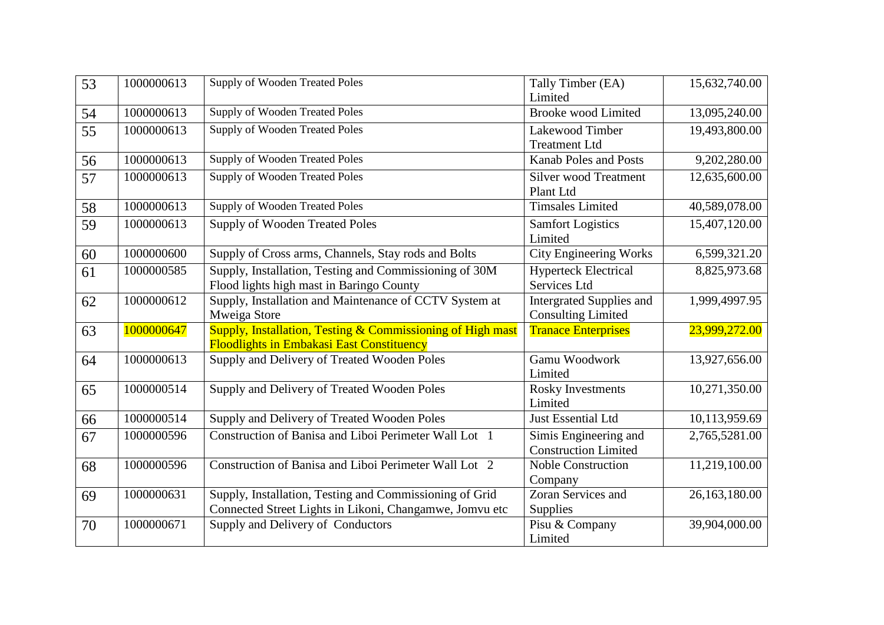| 53 | 1000000613 | Supply of Wooden Treated Poles                                                                                     | Tally Timber (EA)<br>Limited                                 | 15,632,740.00 |
|----|------------|--------------------------------------------------------------------------------------------------------------------|--------------------------------------------------------------|---------------|
| 54 | 1000000613 | Supply of Wooden Treated Poles                                                                                     | <b>Brooke</b> wood Limited                                   | 13,095,240.00 |
| 55 | 1000000613 | <b>Supply of Wooden Treated Poles</b>                                                                              | Lakewood Timber<br><b>Treatment Ltd</b>                      | 19,493,800.00 |
| 56 | 1000000613 | <b>Supply of Wooden Treated Poles</b>                                                                              | <b>Kanab Poles and Posts</b>                                 | 9,202,280.00  |
| 57 | 1000000613 | Supply of Wooden Treated Poles                                                                                     | <b>Silver wood Treatment</b><br>Plant Ltd                    | 12,635,600.00 |
| 58 | 1000000613 | Supply of Wooden Treated Poles                                                                                     | <b>Timsales Limited</b>                                      | 40,589,078.00 |
| 59 | 1000000613 | <b>Supply of Wooden Treated Poles</b>                                                                              | <b>Samfort Logistics</b><br>Limited                          | 15,407,120.00 |
| 60 | 1000000600 | Supply of Cross arms, Channels, Stay rods and Bolts                                                                | <b>City Engineering Works</b>                                | 6,599,321.20  |
| 61 | 1000000585 | Supply, Installation, Testing and Commissioning of 30M<br>Flood lights high mast in Baringo County                 | <b>Hyperteck Electrical</b><br>Services Ltd                  | 8,825,973.68  |
| 62 | 1000000612 | Supply, Installation and Maintenance of CCTV System at<br>Mweiga Store                                             | <b>Intergrated Supplies and</b><br><b>Consulting Limited</b> | 1,999,4997.95 |
| 63 | 1000000647 | Supply, Installation, Testing & Commissioning of High mast<br><b>Floodlights in Embakasi East Constituency</b>     | <b>Tranace Enterprises</b>                                   | 23,999,272.00 |
| 64 | 1000000613 | Supply and Delivery of Treated Wooden Poles                                                                        | Gamu Woodwork<br>Limited                                     | 13,927,656.00 |
| 65 | 1000000514 | Supply and Delivery of Treated Wooden Poles                                                                        | <b>Rosky Investments</b><br>Limited                          | 10,271,350.00 |
| 66 | 1000000514 | Supply and Delivery of Treated Wooden Poles                                                                        | Just Essential Ltd                                           | 10,113,959.69 |
| 67 | 1000000596 | Construction of Banisa and Liboi Perimeter Wall Lot 1                                                              | Simis Engineering and<br><b>Construction Limited</b>         | 2,765,5281.00 |
| 68 | 1000000596 | Construction of Banisa and Liboi Perimeter Wall Lot 2                                                              | <b>Noble Construction</b><br>Company                         | 11,219,100.00 |
| 69 | 1000000631 | Supply, Installation, Testing and Commissioning of Grid<br>Connected Street Lights in Likoni, Changamwe, Jomvu etc | Zoran Services and<br>Supplies                               | 26,163,180.00 |
| 70 | 1000000671 | Supply and Delivery of Conductors                                                                                  | Pisu & Company<br>Limited                                    | 39,904,000.00 |